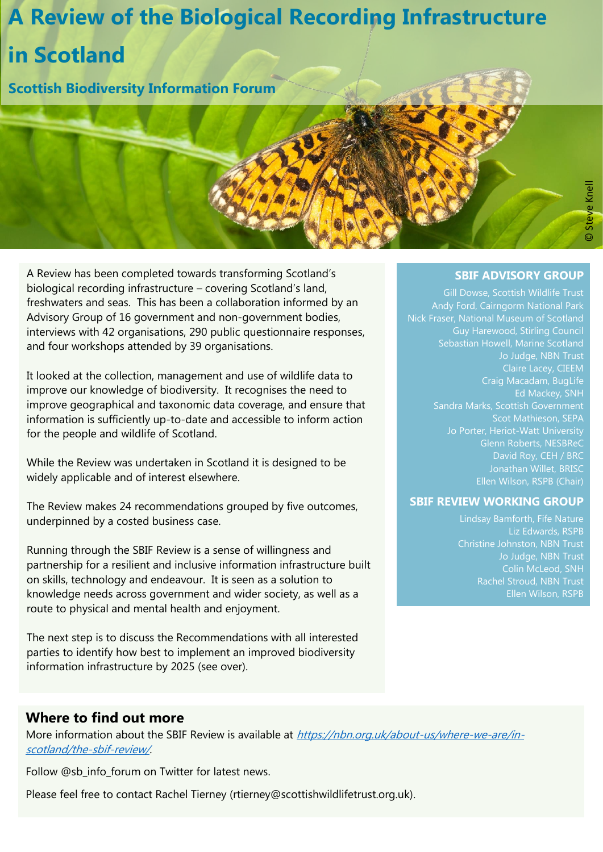# **A Review of the Biological Recording Infrastructure in Scotland**

**Scottish Biodiversity Information Forum**

©Steve Knel

A Review has been completed towards transforming Scotland's biological recording infrastructure – covering Scotland's land, freshwaters and seas. This has been a collaboration informed by an Advisory Group of 16 government and non-government bodies, interviews with 42 organisations, 290 public questionnaire responses, and four workshops attended by 39 organisations.

It looked at the collection, management and use of wildlife data to improve our knowledge of biodiversity. It recognises the need to improve geographical and taxonomic data coverage, and ensure that information is sufficiently up-to-date and accessible to inform action for the people and wildlife of Scotland.

While the Review was undertaken in Scotland it is designed to be widely applicable and of interest elsewhere.

The Review makes 24 recommendations grouped by five outcomes, underpinned by a costed business case.

Running through the SBIF Review is a sense of willingness and partnership for a resilient and inclusive information infrastructure built on skills, technology and endeavour. It is seen as a solution to knowledge needs across government and wider society, as well as a route to physical and mental health and enjoyment.

The next step is to discuss the Recommendations with all interested parties to identify how best to implement an improved biodiversity information infrastructure by 2025 (see over).

#### **SBIF ADVISORY GROUP**

Sebastian Howell, Marine Scotland Jo Judge, NBN Trust Claire Lacey, CIEEM Craig Macadam, BugLife Ed Mackey, SNH Sandra Marks, Scottish Government Scot Mathieson, SEPA Glenn Roberts, NESBReC Jonathan Willet, BRISC Ellen Wilson, RSPB (Chair)

#### **SBIF REVIEW WORKING GROUP**

Liz Edwards, RSPB Jo Judge, NBN Trust Rachel Stroud, NBN Trust Ellen Wilson, RSPB

### **Where to find out more**

More information about the SBIF Review is available at [https://nbn.org.uk/about-us/where-we-are/in](https://nbn.org.uk/about-us/where-we-are/in-scotland/the-sbif-review/)[scotland/the-sbif-review/](https://nbn.org.uk/about-us/where-we-are/in-scotland/the-sbif-review/).

Follow @sb\_info\_forum on Twitter for latest news.

Please feel free to contact Rachel Tierney (rtierney@scottishwildlifetrust.org.uk).